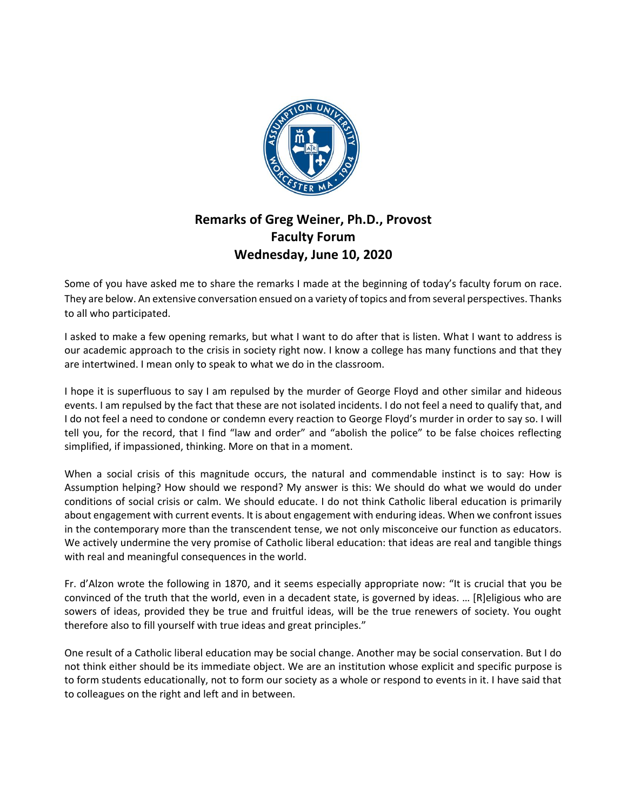

## **Remarks of Greg Weiner, Ph.D., Provost Faculty Forum Wednesday, June 10, 2020**

Some of you have asked me to share the remarks I made at the beginning of today's faculty forum on race. They are below. An extensive conversation ensued on a variety of topics and from several perspectives. Thanks to all who participated.

I asked to make a few opening remarks, but what I want to do after that is listen. What I want to address is our academic approach to the crisis in society right now. I know a college has many functions and that they are intertwined. I mean only to speak to what we do in the classroom.

I hope it is superfluous to say I am repulsed by the murder of George Floyd and other similar and hideous events. I am repulsed by the fact that these are not isolated incidents. I do not feel a need to qualify that, and I do not feel a need to condone or condemn every reaction to George Floyd's murder in order to say so. I will tell you, for the record, that I find "law and order" and "abolish the police" to be false choices reflecting simplified, if impassioned, thinking. More on that in a moment.

When a social crisis of this magnitude occurs, the natural and commendable instinct is to say: How is Assumption helping? How should we respond? My answer is this: We should do what we would do under conditions of social crisis or calm. We should educate. I do not think Catholic liberal education is primarily about engagement with current events. It is about engagement with enduring ideas. When we confront issues in the contemporary more than the transcendent tense, we not only misconceive our function as educators. We actively undermine the very promise of Catholic liberal education: that ideas are real and tangible things with real and meaningful consequences in the world.

Fr. d'Alzon wrote the following in 1870, and it seems especially appropriate now: "It is crucial that you be convinced of the truth that the world, even in a decadent state, is governed by ideas. … [R]eligious who are sowers of ideas, provided they be true and fruitful ideas, will be the true renewers of society. You ought therefore also to fill yourself with true ideas and great principles."

One result of a Catholic liberal education may be social change. Another may be social conservation. But I do not think either should be its immediate object. We are an institution whose explicit and specific purpose is to form students educationally, not to form our society as a whole or respond to events in it. I have said that to colleagues on the right and left and in between.